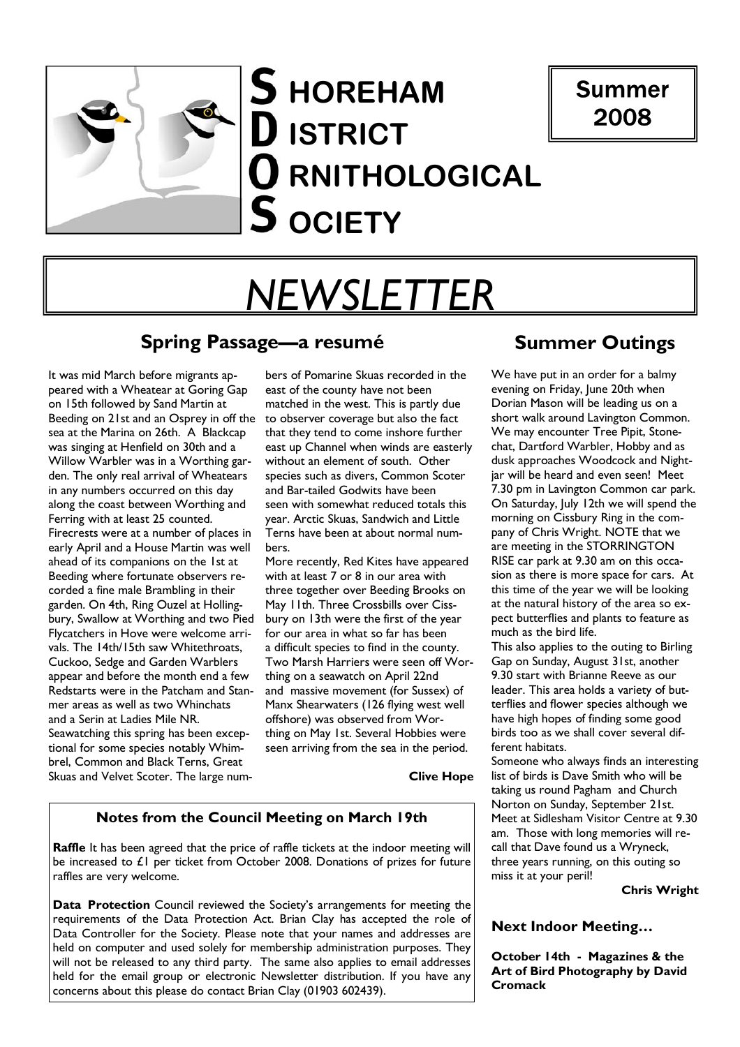

# Summer 2008

# *NEWSLETTER*

## **Spring Passage—a resumé**

It was mid March before migrants appeared with a Wheatear at Goring Gap on 15th followed by Sand Martin at Beeding on 21st and an Osprey in off the sea at the Marina on 26th. A Blackcap was singing at Henfield on 30th and a Willow Warbler was in a Worthing garden. The only real arrival of Wheatears in any numbers occurred on this day along the coast between Worthing and Ferring with at least 25 counted. Firecrests were at a number of places in early April and a House Martin was well ahead of its companions on the 1st at Beeding where fortunate observers recorded a fine male Brambling in their garden. On 4th, Ring Ouzel at Hollingbury, Swallow at Worthing and two Pied Flycatchers in Hove were welcome arrivals. The 14th/15th saw Whitethroats, Cuckoo, Sedge and Garden Warblers appear and before the month end a few Redstarts were in the Patcham and Stanmer areas as well as two Whinchats and a Serin at Ladies Mile NR. Seawatching this spring has been exceptional for some species notably Whimbrel, Common and Black Terns, Great Skuas and Velvet Scoter. The large num-

bers of Pomarine Skuas recorded in the east of the county have not been matched in the west. This is partly due to observer coverage but also the fact that they tend to come inshore further east up Channel when winds are easterly without an element of south. Other species such as divers, Common Scoter and Bar-tailed Godwits have been seen with somewhat reduced totals this year. Arctic Skuas, Sandwich and Little Terns have been at about normal numbers.

More recently, Red Kites have appeared with at least 7 or 8 in our area with three together over Beeding Brooks on May 11th. Three Crossbills over Cissbury on 13th were the first of the year for our area in what so far has been a difficult species to find in the county. Two Marsh Harriers were seen off Worthing on a seawatch on April 22nd and massive movement (for Sussex) of Manx Shearwaters (126 flying west well offshore) was observed from Worthing on May 1st. Several Hobbies were seen arriving from the sea in the period.

#### **Clive Hope**

## **Notes from the Council Meeting on March 19th**

**Raffle** It has been agreed that the price of raffle tickets at the indoor meeting will be increased to £1 per ticket from October 2008. Donations of prizes for future raffles are very welcome.

**Data Protection** Council reviewed the Society's arrangements for meeting the requirements of the Data Protection Act. Brian Clay has accepted the role of Data Controller for the Society. Please note that your names and addresses are held on computer and used solely for membership administration purposes. They will not be released to any third party. The same also applies to email addresses held for the email group or electronic Newsletter distribution. If you have any concerns about this please do contact Brian Clay (01903 602439).

# **Summer Outings**

We have put in an order for a balmy evening on Friday, June 20th when Dorian Mason will be leading us on a short walk around Lavington Common. We may encounter Tree Pipit, Stonechat, Dartford Warbler, Hobby and as dusk approaches Woodcock and Nightjar will be heard and even seen! Meet 7.30 pm in Lavington Common car park. On Saturday, July 12th we will spend the morning on Cissbury Ring in the company of Chris Wright. NOTE that we are meeting in the STORRINGTON RISE car park at 9.30 am on this occasion as there is more space for cars. At this time of the year we will be looking at the natural history of the area so expect butterflies and plants to feature as much as the bird life.

This also applies to the outing to Birling Gap on Sunday, August 31st, another 9.30 start with Brianne Reeve as our leader. This area holds a variety of butterflies and flower species although we have high hopes of finding some good birds too as we shall cover several different habitats.

Someone who always finds an interesting list of birds is Dave Smith who will be taking us round Pagham and Church Norton on Sunday, September 21st. Meet at Sidlesham Visitor Centre at 9.30 am. Those with long memories will recall that Dave found us a Wryneck, three years running, on this outing so miss it at your peril!

### **Chris Wright**

## **Next Indoor Meeting...**

**October 14th - Magazines & the Art of Bird Photography by David Cromack**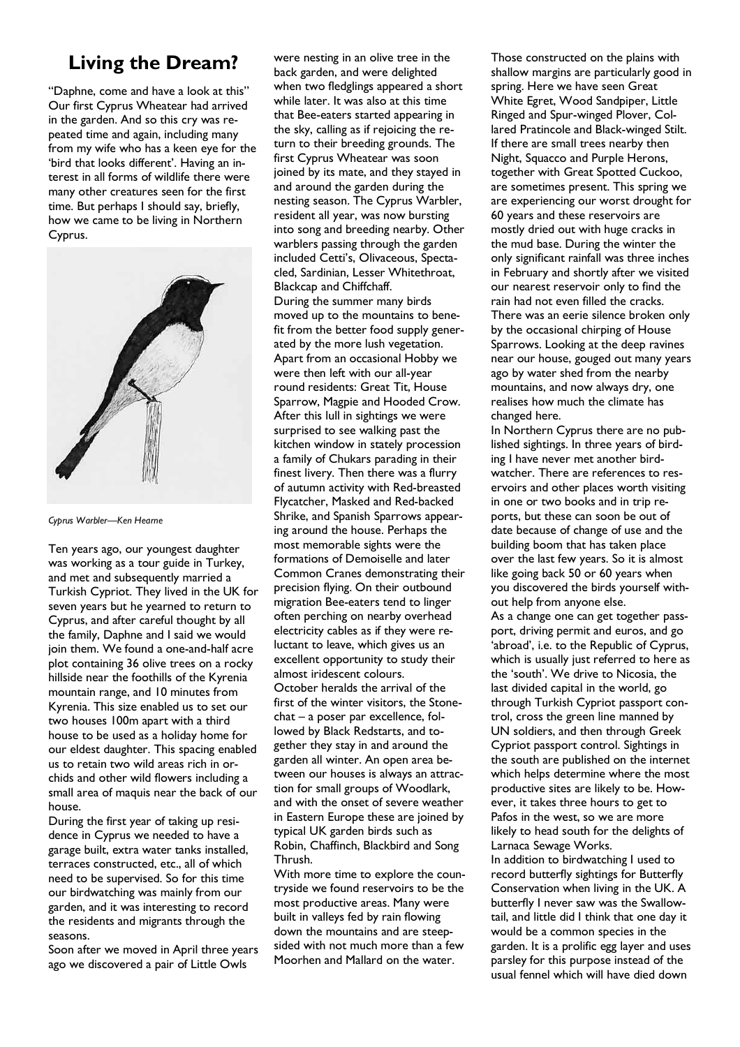# **Living the Dream?**

"Daphne, come and have a look at this" Our first Cyprus Wheatear had arrived in the garden. And so this cry was repeated time and again, including many from my wife who has a keen eye for the 'bird that looks different'. Having an interest in all forms of wildlife there were many other creatures seen for the first time. But perhaps I should say, briefly, how we came to be living in Northern Cyprus.



*Cyprus Warbler-Ken Hearne* 

Ten years ago, our youngest daughter was working as a tour guide in Turkey, and met and subsequently married a Turkish Cypriot. They lived in the UK for seven years but he yearned to return to Cyprus, and after careful thought by all the family, Daphne and I said we would join them. We found a one-and-half acre plot containing 36 olive trees on a rocky hillside near the foothills of the Kyrenia mountain range, and 10 minutes from Kyrenia. This size enabled us to set our two houses 100m apart with a third house to be used as a holiday home for our eldest daughter. This spacing enabled us to retain two wild areas rich in orchids and other wild flowers including a small area of maquis near the back of our house.

During the first year of taking up residence in Cyprus we needed to have a garage built, extra water tanks installed, terraces constructed, etc., all of which need to be supervised. So for this time our birdwatching was mainly from our garden, and it was interesting to record the residents and migrants through the seasons.

Soon after we moved in April three years ago we discovered a pair of Little Owls

were nesting in an olive tree in the back garden, and were delighted when two fledglings appeared a short while later. It was also at this time that Bee-eaters started appearing in the sky, calling as if rejoicing the return to their breeding grounds. The first Cyprus Wheatear was soon joined by its mate, and they stayed in and around the garden during the nesting season. The Cyprus Warbler, resident all year, was now bursting into song and breeding nearby. Other warblers passing through the garden included Cetti's, Olivaceous, Spectacled, Sardinian, Lesser Whitethroat, Blackcap and Chiffchaff. During the summer many birds moved up to the mountains to benefit from the better food supply generated by the more lush vegetation. Apart from an occasional Hobby we were then left with our all-year round residents: Great Tit, House Sparrow, Magpie and Hooded Crow. After this lull in sightings we were surprised to see walking past the kitchen window in stately procession a family of Chukars parading in their finest livery. Then there was a flurry of autumn activity with Red-breasted Flycatcher, Masked and Red-backed Shrike, and Spanish Sparrows appearing around the house. Perhaps the most memorable sights were the formations of Demoiselle and later Common Cranes demonstrating their precision flying. On their outbound migration Bee-eaters tend to linger often perching on nearby overhead electricity cables as if they were reluctant to leave, which gives us an excellent opportunity to study their almost iridescent colours. October heralds the arrival of the first of the winter visitors, the Stone $chat - a poser par excellence, fol$ lowed by Black Redstarts, and together they stay in and around the garden all winter. An open area between our houses is always an attraction for small groups of Woodlark, and with the onset of severe weather in Eastern Europe these are joined by typical UK garden birds such as Robin, Chaffinch, Blackbird and Song Thrush.

With more time to explore the countryside we found reservoirs to be the most productive areas. Many were built in valleys fed by rain flowing down the mountains and are steepsided with not much more than a few Moorhen and Mallard on the water.

Those constructed on the plains with shallow margins are particularly good in spring. Here we have seen Great White Egret, Wood Sandpiper, Little Ringed and Spur-winged Plover, Collared Pratincole and Black-winged Stilt. If there are small trees nearby then Night, Squacco and Purple Herons, together with Great Spotted Cuckoo, are sometimes present. This spring we are experiencing our worst drought for 60 years and these reservoirs are mostly dried out with huge cracks in the mud base. During the winter the only significant rainfall was three inches in February and shortly after we visited our nearest reservoir only to find the rain had not even filled the cracks. There was an eerie silence broken only by the occasional chirping of House Sparrows. Looking at the deep ravines near our house, gouged out many years ago by water shed from the nearby mountains, and now always dry, one realises how much the climate has changed here.

In Northern Cyprus there are no published sightings. In three years of birding I have never met another birdwatcher. There are references to reservoirs and other places worth visiting in one or two books and in trip reports, but these can soon be out of date because of change of use and the building boom that has taken place over the last few years. So it is almost like going back 50 or 60 years when you discovered the birds yourself without help from anyone else. As a change one can get together passport, driving permit and euros, and go 'abroad', i.e. to the Republic of Cyprus, which is usually just referred to here as the 'south'. We drive to Nicosia, the last divided capital in the world, go through Turkish Cypriot passport control, cross the green line manned by UN soldiers, and then through Greek Cypriot passport control. Sightings in the south are published on the internet which helps determine where the most productive sites are likely to be. However, it takes three hours to get to Pafos in the west, so we are more likely to head south for the delights of Larnaca Sewage Works. In addition to birdwatching I used to record butterfly sightings for Butterfly Conservation when living in the UK. A butterfly I never saw was the Swallowtail, and little did I think that one day it would be a common species in the

garden. It is a prolific egg layer and uses parsley for this purpose instead of the usual fennel which will have died down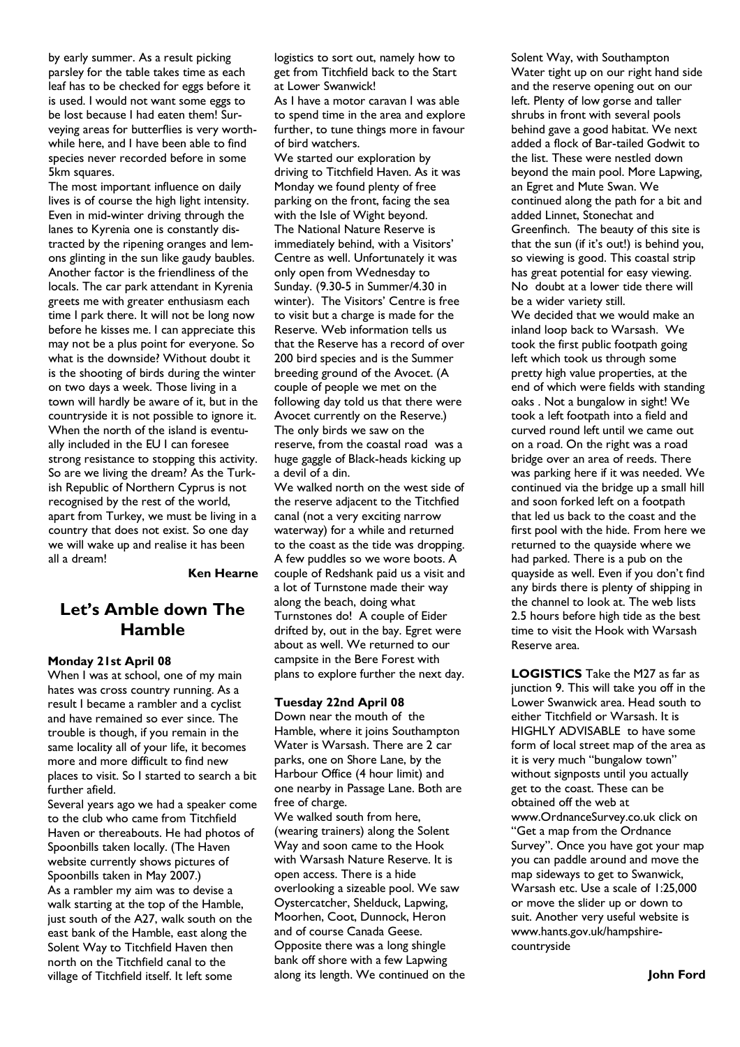by early summer. As a result picking parsley for the table takes time as each leaf has to be checked for eggs before it is used. I would not want some eggs to be lost because I had eaten them! Surveying areas for butterflies is very worthwhile here, and I have been able to find species never recorded before in some 5km squares.

The most important influence on daily lives is of course the high light intensity. Even in mid-winter driving through the lanes to Kyrenia one is constantly distracted by the ripening oranges and lemons glinting in the sun like gaudy baubles. Another factor is the friendliness of the locals. The car park attendant in Kyrenia greets me with greater enthusiasm each time I park there. It will not be long now before he kisses me. I can appreciate this may not be a plus point for everyone. So what is the downside? Without doubt it is the shooting of birds during the winter on two days a week. Those living in a town will hardly be aware of it, but in the countryside it is not possible to ignore it. When the north of the island is eventually included in the EU I can foresee strong resistance to stopping this activity. So are we living the dream? As the Turkish Republic of Northern Cyprus is not recognised by the rest of the world, apart from Turkey, we must be living in a country that does not exist. So one day we will wake up and realise it has been all a dream!

#### **Ken Hearne**

## Let's Amble down The **Hamble**

#### **Monday 21st April 08**

When I was at school, one of my main hates was cross country running. As a result I became a rambler and a cyclist and have remained so ever since. The trouble is though, if you remain in the same locality all of your life, it becomes more and more difficult to find new places to visit. So I started to search a bit further afield.

Several years ago we had a speaker come to the club who came from Titchfield Haven or thereabouts. He had photos of Spoonbills taken locally. (The Haven website currently shows pictures of Spoonbills taken in May 2007.) As a rambler my aim was to devise a walk starting at the top of the Hamble. just south of the A27, walk south on the east bank of the Hamble, east along the Solent Way to Titchfield Haven then north on the Titchfield canal to the village of Titchfield itself. It left some

logistics to sort out, namely how to get from Titchfield back to the Start at Lower Swanwick!

As I have a motor caravan I was able to spend time in the area and explore further, to tune things more in favour of bird watchers.

We started our exploration by driving to Titchfield Haven. As it was Monday we found plenty of free parking on the front, facing the sea with the Isle of Wight beyond. The National Nature Reserve is immediately behind, with a Visitors' Centre as well. Unfortunately it was only open from Wednesday to Sunday. (9.30-5 in Summer/4.30 in winter). The Visitors' Centre is free to visit but a charge is made for the Reserve. Web information tells us that the Reserve has a record of over 200 bird species and is the Summer breeding ground of the Avocet. (A couple of people we met on the following day told us that there were Avocet currently on the Reserve.) The only birds we saw on the reserve, from the coastal road was a huge gaggle of Black-heads kicking up a devil of a din.

We walked north on the west side of the reserve adjacent to the Titchfied canal (not a very exciting narrow waterway) for a while and returned to the coast as the tide was dropping. A few puddles so we wore boots. A couple of Redshank paid us a visit and a lot of Turnstone made their way along the beach, doing what Turnstones do! A couple of Eider drifted by, out in the bay. Egret were about as well. We returned to our campsite in the Bere Forest with plans to explore further the next day.

#### **Tuesday 22nd April 08**

Down near the mouth of the Hamble, where it joins Southampton Water is Warsash. There are 2 car parks, one on Shore Lane, by the Harbour Office (4 hour limit) and one nearby in Passage Lane. Both are free of charge.

We walked south from here, (wearing trainers) along the Solent Way and soon came to the Hook with Warsash Nature Reserve. It is open access. There is a hide overlooking a sizeable pool. We saw Oystercatcher, Shelduck, Lapwing, Moorhen, Coot, Dunnock, Heron and of course Canada Geese. Opposite there was a long shingle bank off shore with a few Lapwing along its length. We continued on the Solent Way, with Southampton Water tight up on our right hand side and the reserve opening out on our left. Plenty of low gorse and taller shrubs in front with several pools behind gave a good habitat. We next added a flock of Bar-tailed Godwit to the list. These were nestled down beyond the main pool. More Lapwing, an Egret and Mute Swan. We continued along the path for a bit and added Linnet, Stonechat and Greenfinch. The beauty of this site is that the sun (if it's out!) is behind you, so viewing is good. This coastal strip has great potential for easy viewing. No doubt at a lower tide there will be a wider variety still. We decided that we would make an inland loop back to Warsash. We took the first public footpath going left which took us through some pretty high value properties, at the end of which were fields with standing oaks . Not a bungalow in sight! We took a left footpath into a field and curved round left until we came out on a road. On the right was a road bridge over an area of reeds. There was parking here if it was needed. We continued via the bridge up a small hill and soon forked left on a footpath that led us back to the coast and the first pool with the hide. From here we returned to the quayside where we had parked. There is a pub on the quayside as well. Even if you don't find any birds there is plenty of shipping in the channel to look at. The web lists 2.5 hours before high tide as the best time to visit the Hook with Warsash Reserve area.

**LOGISTICS** Take the M27 as far as junction 9. This will take you off in the Lower Swanwick area. Head south to either Titchfield or Warsash. It is HIGHLY ADVISABLE to have some form of local street map of the area as it is very much "bungalow town" without signposts until you actually get to the coast. These can be obtained off the web at www.OrdnanceSurvey.co.uk click on "Get a map from the Ordnance Survey". Once you have got your map you can paddle around and move the map sideways to get to Swanwick, Warsash etc. Use a scale of 1:25,000 or move the slider up or down to suit. Another very useful website is www.hants.gov.uk/hampshirecountryside